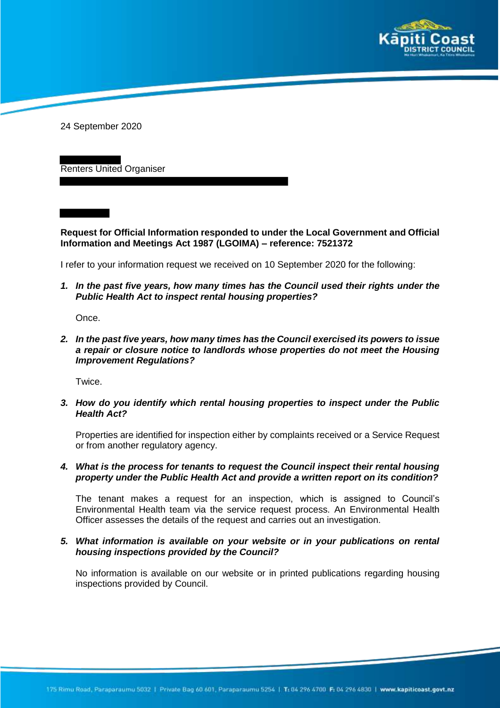

24 September 2020

Renters United Organiser

**Request for Official Information responded to under the Local Government and Official Information and Meetings Act 1987 (LGOIMA) – reference: 7521372**

I refer to your information request we received on 10 September 2020 for the following:

*1. In the past five years, how many times has the Council used their rights under the Public Health Act to inspect rental housing properties?*

Once.

*2. In the past five years, how many times has the Council exercised its powers to issue a repair or closure notice to landlords whose properties do not meet the Housing Improvement Regulations?*

Twice.

*3. How do you identify which rental housing properties to inspect under the Public Health Act?* 

Properties are identified for inspection either by complaints received or a Service Request or from another regulatory agency.

*4. What is the process for tenants to request the Council inspect their rental housing property under the Public Health Act and provide a written report on its condition?* 

The tenant makes a request for an inspection, which is assigned to Council's Environmental Health team via the service request process. An Environmental Health Officer assesses the details of the request and carries out an investigation.

## *5. What information is available on your website or in your publications on rental housing inspections provided by the Council?*

No information is available on our website or in printed publications regarding housing inspections provided by Council.